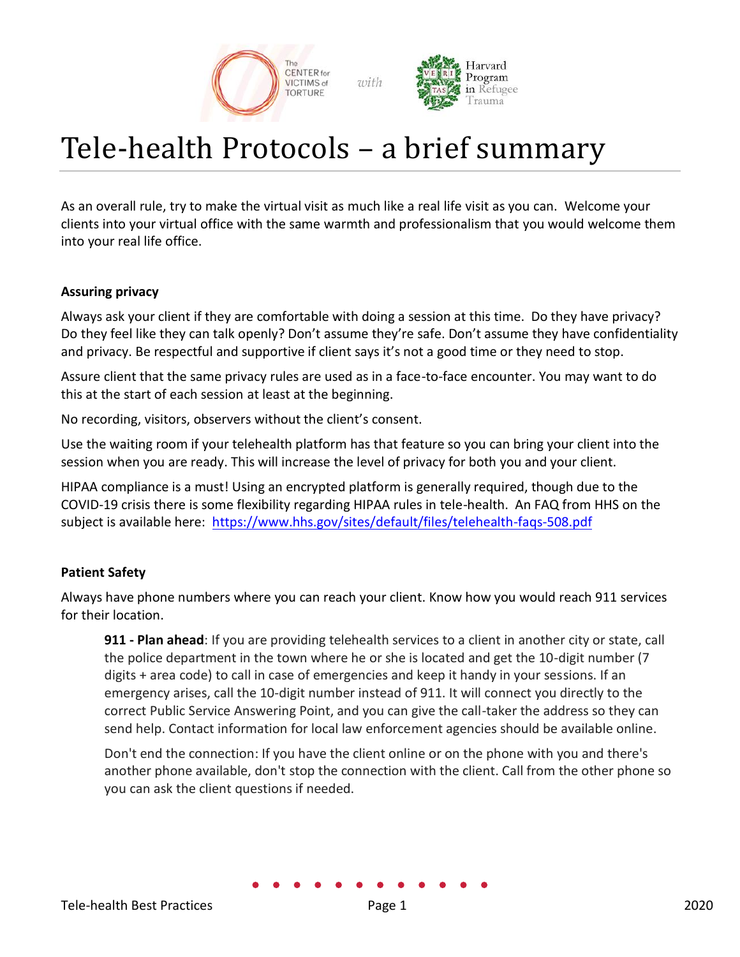

with



# Tele-health Protocols – a brief summary

As an overall rule, try to make the virtual visit as much like a real life visit as you can. Welcome your clients into your virtual office with the same warmth and professionalism that you would welcome them into your real life office.

# **Assuring privacy**

Always ask your client if they are comfortable with doing a session at this time. Do they have privacy? Do they feel like they can talk openly? Don't assume they're safe. Don't assume they have confidentiality and privacy. Be respectful and supportive if client says it's not a good time or they need to stop.

Assure client that the same privacy rules are used as in a face-to-face encounter. You may want to do this at the start of each session at least at the beginning.

No recording, visitors, observers without the client's consent.

Use the waiting room if your telehealth platform has that feature so you can bring your client into the session when you are ready. This will increase the level of privacy for both you and your client.

HIPAA compliance is a must! Using an encrypted platform is generally required, though due to the COVID-19 crisis there is some flexibility regarding HIPAA rules in tele-health. An FAQ from HHS on the subject is available here:<https://www.hhs.gov/sites/default/files/telehealth-faqs-508.pdf>

# **Patient Safety**

Always have phone numbers where you can reach your client. Know how you would reach 911 services for their location.

**911 - Plan ahead**: If you are providing telehealth services to a client in another city or state, call the police department in the town where he or she is located and get the 10-digit number (7 digits + area code) to call in case of emergencies and keep it handy in your sessions. If an emergency arises, call the 10-digit number instead of 911. It will connect you directly to the correct Public Service Answering Point, and you can give the call-taker the address so they can send help. Contact information for local law enforcement agencies should be available online.

Don't end the connection: If you have the client online or on the phone with you and there's another phone available, don't stop the connection with the client. Call from the other phone so you can ask the client questions if needed.